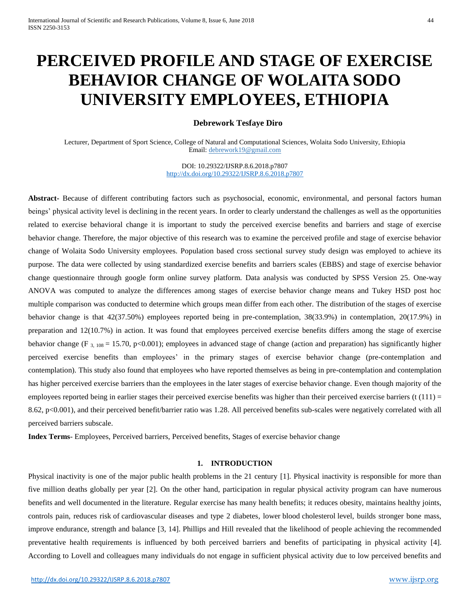# **PERCEIVED PROFILE AND STAGE OF EXERCISE BEHAVIOR CHANGE OF WOLAITA SODO UNIVERSITY EMPLOYEES, ETHIOPIA**

# **Debrework Tesfaye Diro**

Lecturer, Department of Sport Science, College of Natural and Computational Sciences, Wolaita Sodo University, Ethiopia Email: [debrework19@gmail.com](mailto:debrework19@gmail.com)

> DOI: 10.29322/IJSRP.8.6.2018.p7807 <http://dx.doi.org/10.29322/IJSRP.8.6.2018.p7807>

**Abstract-** Because of different contributing factors such as psychosocial, economic, environmental, and personal factors human beings' physical activity level is declining in the recent years. In order to clearly understand the challenges as well as the opportunities related to exercise behavioral change it is important to study the perceived exercise benefits and barriers and stage of exercise behavior change. Therefore, the major objective of this research was to examine the perceived profile and stage of exercise behavior change of Wolaita Sodo University employees. Population based cross sectional survey study design was employed to achieve its purpose. The data were collected by using standardized exercise benefits and barriers scales (EBBS) and stage of exercise behavior change questionnaire through google form online survey platform. Data analysis was conducted by SPSS Version 25. One-way ANOVA was computed to analyze the differences among stages of exercise behavior change means and Tukey HSD post hoc multiple comparison was conducted to determine which groups mean differ from each other. The distribution of the stages of exercise behavior change is that 42(37.50%) employees reported being in pre-contemplation, 38(33.9%) in contemplation, 20(17.9%) in preparation and 12(10.7%) in action. It was found that employees perceived exercise benefits differs among the stage of exercise behavior change (F  $_3$ ,  $_{108}$  = 15.70, p<0.001); employees in advanced stage of change (action and preparation) has significantly higher perceived exercise benefits than employees' in the primary stages of exercise behavior change (pre-contemplation and contemplation). This study also found that employees who have reported themselves as being in pre-contemplation and contemplation has higher perceived exercise barriers than the employees in the later stages of exercise behavior change. Even though majority of the employees reported being in earlier stages their perceived exercise benefits was higher than their perceived exercise barriers  $(t(111) =$ 8.62, p<0.001), and their perceived benefit/barrier ratio was 1.28. All perceived benefits sub-scales were negatively correlated with all perceived barriers subscale.

**Index Terms**- Employees, Perceived barriers, Perceived benefits, Stages of exercise behavior change

# **1. INTRODUCTION**

Physical inactivity is one of the major public health problems in the 21 century [1]. Physical inactivity is responsible for more than five million deaths globally per year [2]. On the other hand, participation in regular physical activity program can have numerous benefits and well documented in the literature. Regular exercise has many health benefits; it reduces obesity, maintains healthy joints, controls pain, reduces risk of cardiovascular diseases and type 2 diabetes, lower blood cholesterol level, builds stronger bone mass, improve endurance, strength and balance [3, 14]. Phillips and Hill revealed that the likelihood of people achieving the recommended preventative health requirements is influenced by both perceived barriers and benefits of participating in physical activity [4]. According to Lovell and colleagues many individuals do not engage in sufficient physical activity due to low perceived benefits and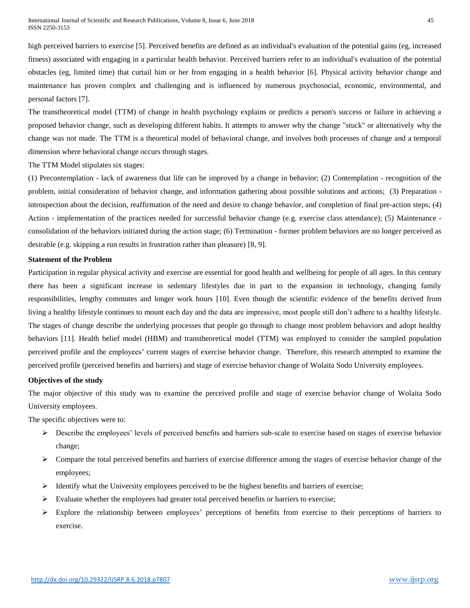high perceived barriers to exercise [5]. Perceived benefits are defined as an individual's evaluation of the potential gains (eg, increased fitness) associated with engaging in a particular health behavior. Perceived barriers refer to an individual's evaluation of the potential obstacles (eg, limited time) that curtail him or her from engaging in a health behavior [6]. Physical activity behavior change and maintenance has proven complex and challenging and is influenced by numerous psychosocial, economic, environmental, and personal factors [7].

The transtheoretical model (TTM) of change in health psychology explains or predicts a person's success or failure in achieving a proposed behavior change, such as developing different habits. It attempts to answer why the change "stuck" or alternatively why the change was not made. The TTM is a theoretical model of behavioral change, and involves both processes of change and a temporal dimension where behavioral change occurs through stages.

The TTM Model stipulates six stages:

(1) Precontemplation - lack of awareness that life can be improved by a change in behavior; (2) Contemplation - recognition of the problem, initial consideration of behavior change, and information gathering about possible solutions and actions; (3) Preparation introspection about the decision, reaffirmation of the need and desire to change behavior, and completion of final pre-action steps; (4) Action - implementation of the practices needed for successful behavior change (e.g. exercise class attendance); (5) Maintenance consolidation of the behaviors initiated during the action stage; (6) Termination - former problem behaviors are no longer perceived as desirable (e.g. skipping a run results in frustration rather than pleasure) [8, 9].

## **Statement of the Problem**

Participation in regular physical activity and exercise are essential for good health and wellbeing for people of all ages. In this century there has been a significant increase in sedentary lifestyles due in part to the expansion in technology, changing family responsibilities, lengthy commutes and longer work hours [10]. Even though the scientific evidence of the benefits derived from living a healthy lifestyle continues to mount each day and the data are impressive, most people still don't adhere to a healthy lifestyle. The stages of change describe the underlying processes that people go through to change most problem behaviors and adopt healthy behaviors [11]. Health belief model (HBM) and transtheoretical model (TTM) was employed to consider the sampled population perceived profile and the employees' current stages of exercise behavior change. Therefore, this research attempted to examine the perceived profile (perceived benefits and barriers) and stage of exercise behavior change of Wolaita Sodo University employees.

# **Objectives of the study**

The major objective of this study was to examine the perceived profile and stage of exercise behavior change of Wolaita Sodo University employees.

The specific objectives were to:

- Describe the employees' levels of perceived benefits and barriers sub-scale to exercise based on stages of exercise behavior change;
- $\triangleright$  Compare the total perceived benefits and barriers of exercise difference among the stages of exercise behavior change of the employees;
- $\triangleright$  Identify what the University employees perceived to be the highest benefits and barriers of exercise;
- $\triangleright$  Evaluate whether the employees had greater total perceived benefits or barriers to exercise;
- $\triangleright$  Explore the relationship between employees' perceptions of benefits from exercise to their perceptions of barriers to exercise.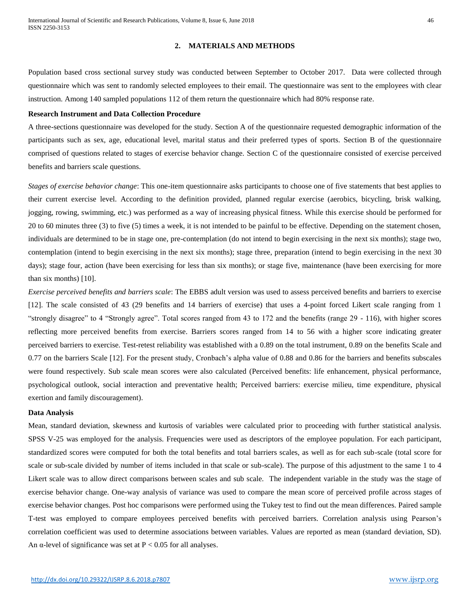## **2. MATERIALS AND METHODS**

Population based cross sectional survey study was conducted between September to October 2017. Data were collected through questionnaire which was sent to randomly selected employees to their email. The questionnaire was sent to the employees with clear instruction. Among 140 sampled populations 112 of them return the questionnaire which had 80% response rate.

# **Research Instrument and Data Collection Procedure**

A three-sections questionnaire was developed for the study. Section A of the questionnaire requested demographic information of the participants such as sex, age, educational level, marital status and their preferred types of sports. Section B of the questionnaire comprised of questions related to stages of exercise behavior change. Section C of the questionnaire consisted of exercise perceived benefits and barriers scale questions.

*Stages of exercise behavior change*: This one-item questionnaire asks participants to choose one of five statements that best applies to their current exercise level. According to the definition provided, planned regular exercise (aerobics, bicycling, brisk walking, jogging, rowing, swimming, etc.) was performed as a way of increasing physical fitness. While this exercise should be performed for 20 to 60 minutes three (3) to five (5) times a week, it is not intended to be painful to be effective. Depending on the statement chosen, individuals are determined to be in stage one, pre-contemplation (do not intend to begin exercising in the next six months); stage two, contemplation (intend to begin exercising in the next six months); stage three, preparation (intend to begin exercising in the next 30 days); stage four, action (have been exercising for less than six months); or stage five, maintenance (have been exercising for more than six months) [10].

*Exercise perceived benefits and barriers scale*: The EBBS adult version was used to assess perceived benefits and barriers to exercise [12]. The scale consisted of 43 (29 benefits and 14 barriers of exercise) that uses a 4-point forced Likert scale ranging from 1 "strongly disagree" to 4 "Strongly agree". Total scores ranged from 43 to 172 and the benefits (range 29 - 116), with higher scores reflecting more perceived benefits from exercise. Barriers scores ranged from 14 to 56 with a higher score indicating greater perceived barriers to exercise. Test-retest reliability was established with a 0.89 on the total instrument, 0.89 on the benefits Scale and 0.77 on the barriers Scale [12]. For the present study, Cronbach's alpha value of 0.88 and 0.86 for the barriers and benefits subscales were found respectively. Sub scale mean scores were also calculated (Perceived benefits: life enhancement, physical performance, psychological outlook, social interaction and preventative health; Perceived barriers: exercise milieu, time expenditure, physical exertion and family discouragement).

#### **Data Analysis**

Mean, standard deviation, skewness and kurtosis of variables were calculated prior to proceeding with further statistical analysis. SPSS V-25 was employed for the analysis. Frequencies were used as descriptors of the employee population. For each participant, standardized scores were computed for both the total benefits and total barriers scales, as well as for each sub-scale (total score for scale or sub-scale divided by number of items included in that scale or sub-scale). The purpose of this adjustment to the same 1 to 4 Likert scale was to allow direct comparisons between scales and sub scale. The independent variable in the study was the stage of exercise behavior change. One-way analysis of variance was used to compare the mean score of perceived profile across stages of exercise behavior changes. Post hoc comparisons were performed using the Tukey test to find out the mean differences. Paired sample T-test was employed to compare employees perceived benefits with perceived barriers. Correlation analysis using Pearson's correlation coefficient was used to determine associations between variables. Values are reported as mean (standard deviation, SD). An  $\alpha$ -level of significance was set at P < 0.05 for all analyses.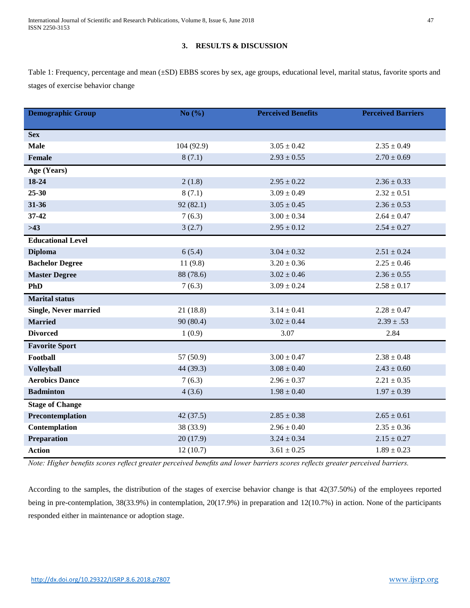# **3. RESULTS & DISCUSSION**

Table 1: Frequency, percentage and mean (±SD) EBBS scores by sex, age groups, educational level, marital status, favorite sports and stages of exercise behavior change

| <b>Demographic Group</b>     | No $(\% )$ | <b>Perceived Benefits</b> | <b>Perceived Barriers</b>          |
|------------------------------|------------|---------------------------|------------------------------------|
| <b>Sex</b>                   |            |                           |                                    |
| <b>Male</b>                  | 104 (92.9) | $3.05 \pm 0.42$           | $2.35 \pm 0.49$                    |
| <b>Female</b>                | 8(7.1)     | $2.93 \pm 0.55$           | $2.70 \pm 0.69$                    |
|                              |            |                           |                                    |
| Age (Years)<br>18-24         |            |                           |                                    |
|                              | 2(1.8)     | $2.95 \pm 0.22$           | $2.36 \pm 0.33$<br>$2.32 \pm 0.51$ |
| $25 - 30$                    | 8(7.1)     | $3.09 \pm 0.49$           |                                    |
| 31-36                        | 92(82.1)   | $3.05 \pm 0.45$           | $2.36 \pm 0.53$                    |
| $37 - 42$                    | 7(6.3)     | $3.00 \pm 0.34$           | $2.64 \pm 0.47$                    |
| $>43$                        | 3(2.7)     | $2.95 \pm 0.12$           | $2.54 \pm 0.27$                    |
| <b>Educational Level</b>     |            |                           |                                    |
| <b>Diploma</b>               | 6(5.4)     | $3.04 \pm 0.32$           | $2.51 \pm 0.24$                    |
| <b>Bachelor Degree</b>       | 11(9.8)    | $3.20 \pm 0.36$           | $2.25 \pm 0.46$                    |
| <b>Master Degree</b>         | 88 (78.6)  | $3.02 \pm 0.46$           | $2.36 \pm 0.55$                    |
| PhD                          | 7(6.3)     | $3.09 \pm 0.24$           | $2.58 \pm 0.17$                    |
| <b>Marital status</b>        |            |                           |                                    |
| <b>Single, Never married</b> | 21 (18.8)  | $3.14 \pm 0.41$           | $2.28 \pm 0.47$                    |
| <b>Married</b>               | 90(80.4)   | $3.02 \pm 0.44$           | $2.39 \pm .53$                     |
| <b>Divorced</b>              | 1(0.9)     | 3.07                      | 2.84                               |
| <b>Favorite Sport</b>        |            |                           |                                    |
| Football                     | 57 (50.9)  | $3.00 \pm 0.47$           | $2.38 \pm 0.48$                    |
| <b>Volleyball</b>            | 44 (39.3)  | $3.08 \pm 0.40$           | $2.43 \pm 0.60$                    |
| <b>Aerobics Dance</b>        | 7(6.3)     | $2.96 \pm 0.37$           | $2.21 \pm 0.35$                    |
| <b>Badminton</b>             | 4(3.6)     | $1.98 \pm 0.40$           | $1.97 \pm 0.39$                    |
| <b>Stage of Change</b>       |            |                           |                                    |
| Precontemplation             | 42(37.5)   | $2.85 \pm 0.38$           | $2.65 \pm 0.61$                    |
| Contemplation                | 38 (33.9)  | $2.96 \pm 0.40$           | $2.35 \pm 0.36$                    |
| Preparation                  | 20(17.9)   | $3.24 \pm 0.34$           | $2.15 \pm 0.27$                    |
| <b>Action</b>                | 12(10.7)   | $3.61 \pm 0.25$           | $1.89 \pm 0.23$                    |

*Note: Higher benefits scores reflect greater perceived benefits and lower barriers scores reflects greater perceived barriers.*

According to the samples, the distribution of the stages of exercise behavior change is that 42(37.50%) of the employees reported being in pre-contemplation, 38(33.9%) in contemplation, 20(17.9%) in preparation and 12(10.7%) in action. None of the participants responded either in maintenance or adoption stage.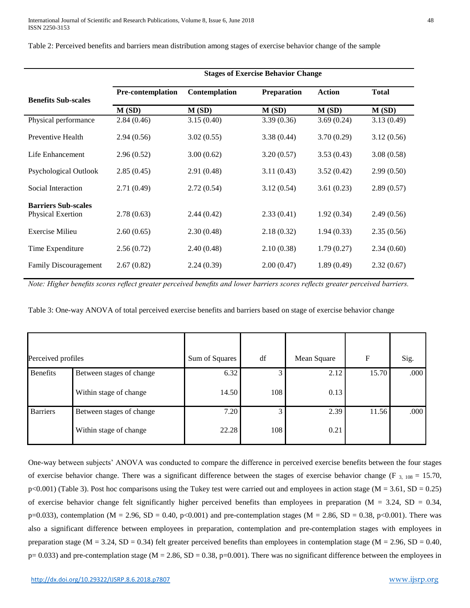| Table 2: Perceived benefits and barriers mean distribution among stages of exercise behavior change of the sample |  |  |
|-------------------------------------------------------------------------------------------------------------------|--|--|

|                              | <b>Stages of Exercise Behavior Change</b> |               |                    |               |              |  |
|------------------------------|-------------------------------------------|---------------|--------------------|---------------|--------------|--|
| <b>Benefits Sub-scales</b>   | Pre-contemplation                         | Contemplation | <b>Preparation</b> | <b>Action</b> | <b>Total</b> |  |
|                              | M(SD)                                     | M(SD)         | M(SD)              | M(SD)         | M(SD)        |  |
| Physical performance         | 2.84(0.46)                                | 3.15(0.40)    | 3.39(0.36)         | 3.69(0.24)    | 3.13(0.49)   |  |
| Preventive Health            | 2.94(0.56)                                | 3.02(0.55)    | 3.38(0.44)         | 3.70(0.29)    | 3.12(0.56)   |  |
| Life Enhancement             | 2.96(0.52)                                | 3.00(0.62)    | 3.20(0.57)         | 3.53(0.43)    | 3.08(0.58)   |  |
| <b>Psychological Outlook</b> | 2.85(0.45)                                | 2.91(0.48)    | 3.11(0.43)         | 3.52(0.42)    | 2.99(0.50)   |  |
| Social Interaction           | 2.71(0.49)                                | 2.72(0.54)    | 3.12(0.54)         | 3.61(0.23)    | 2.89(0.57)   |  |
| <b>Barriers Sub-scales</b>   |                                           |               |                    |               |              |  |
| <b>Physical Exertion</b>     | 2.78(0.63)                                | 2.44(0.42)    | 2.33(0.41)         | 1.92(0.34)    | 2.49(0.56)   |  |
| <b>Exercise Milieu</b>       | 2.60(0.65)                                | 2.30(0.48)    | 2.18(0.32)         | 1.94(0.33)    | 2.35(0.56)   |  |
| Time Expenditure             | 2.56(0.72)                                | 2.40(0.48)    | 2.10(0.38)         | 1.79(0.27)    | 2.34(0.60)   |  |
| <b>Family Discouragement</b> | 2.67(0.82)                                | 2.24(0.39)    | 2.00(0.47)         | 1.89(0.49)    | 2.32(0.67)   |  |

*Note: Higher benefits scores reflect greater perceived benefits and lower barriers scores reflects greater perceived barriers.*

|  | Table 3: One-way ANOVA of total perceived exercise benefits and barriers based on stage of exercise behavior change |  |
|--|---------------------------------------------------------------------------------------------------------------------|--|
|  |                                                                                                                     |  |

| Perceived profiles |                          | Sum of Squares | df  | Mean Square | F     | Sig. |
|--------------------|--------------------------|----------------|-----|-------------|-------|------|
| <b>Benefits</b>    | Between stages of change | 6.32           |     | 2.12        | 15.70 | .000 |
|                    | Within stage of change   | 14.50          | 108 | 0.13        |       |      |
| <b>Barriers</b>    | Between stages of change | 7.20           |     | 2.39        | 11.56 | .000 |
|                    | Within stage of change   | 22.28          | 108 | 0.21        |       |      |

One-way between subjects' ANOVA was conducted to compare the difference in perceived exercise benefits between the four stages of exercise behavior change. There was a significant difference between the stages of exercise behavior change (F  $_{3,108}$  = 15.70,  $p$ <0.001) (Table 3). Post hoc comparisons using the Tukey test were carried out and employees in action stage (M = 3.61, SD = 0.25) of exercise behavior change felt significantly higher perceived benefits than employees in preparation ( $M = 3.24$ ,  $SD = 0.34$ , p=0.033), contemplation (M = 2.96, SD = 0.40, p<0.001) and pre-contemplation stages (M = 2.86, SD = 0.38, p<0.001). There was also a significant difference between employees in preparation, contemplation and pre-contemplation stages with employees in preparation stage ( $M = 3.24$ ,  $SD = 0.34$ ) felt greater perceived benefits than employees in contemplation stage ( $M = 2.96$ ,  $SD = 0.40$ ,  $p= 0.033$ ) and pre-contemplation stage (M = 2.86, SD = 0.38, p=0.001). There was no significant difference between the employees in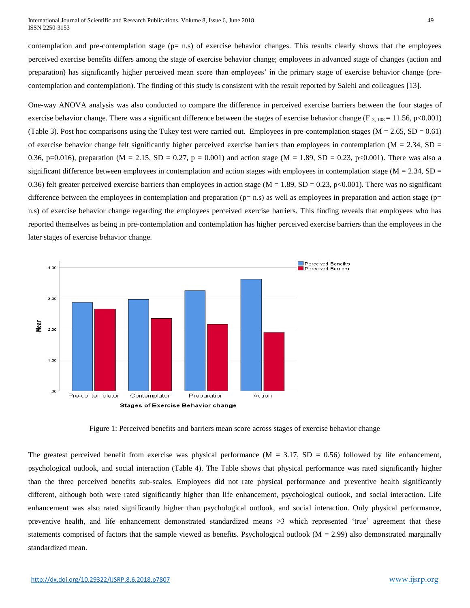contemplation and pre-contemplation stage  $(p= n.s)$  of exercise behavior changes. This results clearly shows that the employees perceived exercise benefits differs among the stage of exercise behavior change; employees in advanced stage of changes (action and preparation) has significantly higher perceived mean score than employees' in the primary stage of exercise behavior change (precontemplation and contemplation). The finding of this study is consistent with the result reported by Salehi and colleagues [13].

One-way ANOVA analysis was also conducted to compare the difference in perceived exercise barriers between the four stages of exercise behavior change. There was a significant difference between the stages of exercise behavior change (F  $_{3.108}$  = 11.56, p<0.001) (Table 3). Post hoc comparisons using the Tukey test were carried out. Employees in pre-contemplation stages ( $M = 2.65$ ,  $SD = 0.61$ ) of exercise behavior change felt significantly higher perceived exercise barriers than employees in contemplation ( $M = 2.34$ ,  $SD =$ 0.36, p=0.016), preparation (M = 2.15, SD = 0.27, p = 0.001) and action stage (M = 1.89, SD = 0.23, p<0.001). There was also a significant difference between employees in contemplation and action stages with employees in contemplation stage ( $M = 2.34$ ,  $SD =$ 0.36) felt greater perceived exercise barriers than employees in action stage ( $M = 1.89$ ,  $SD = 0.23$ ,  $p<0.001$ ). There was no significant difference between the employees in contemplation and preparation  $(p = n.s)$  as well as employees in preparation and action stage  $(p = n.s)$ n.s) of exercise behavior change regarding the employees perceived exercise barriers. This finding reveals that employees who has reported themselves as being in pre-contemplation and contemplation has higher perceived exercise barriers than the employees in the later stages of exercise behavior change.



Figure 1: Perceived benefits and barriers mean score across stages of exercise behavior change

The greatest perceived benefit from exercise was physical performance  $(M = 3.17, SD = 0.56)$  followed by life enhancement, psychological outlook, and social interaction (Table 4). The Table shows that physical performance was rated significantly higher than the three perceived benefits sub-scales. Employees did not rate physical performance and preventive health significantly different, although both were rated significantly higher than life enhancement, psychological outlook, and social interaction. Life enhancement was also rated significantly higher than psychological outlook, and social interaction. Only physical performance, preventive health, and life enhancement demonstrated standardized means >3 which represented 'true' agreement that these statements comprised of factors that the sample viewed as benefits. Psychological outlook  $(M = 2.99)$  also demonstrated marginally standardized mean.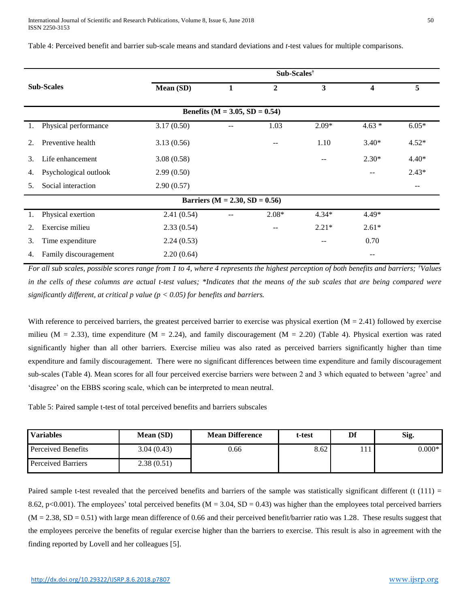|    |                       |            |                                       | Sub-Scales <sup>†</sup> |         |         |                          |
|----|-----------------------|------------|---------------------------------------|-------------------------|---------|---------|--------------------------|
|    | <b>Sub-Scales</b>     | Mean (SD)  |                                       | 2                       | 3       | 4       | 5                        |
|    |                       |            |                                       |                         |         |         |                          |
|    |                       |            | Benefits ( $M = 3.05$ , $SD = 0.54$ ) |                         |         |         |                          |
| 1. | Physical performance  | 3.17(0.50) | $-$                                   | 1.03                    | $2.09*$ | $4.63*$ | $6.05*$                  |
| 2. | Preventive health     | 3.13(0.56) |                                       | $\qquad \qquad -$       | 1.10    | $3.40*$ | $4.52*$                  |
| 3. | Life enhancement      | 3.08(0.58) |                                       |                         |         | $2.30*$ | $4.40*$                  |
| 4. | Psychological outlook | 2.99(0.50) |                                       |                         |         | --      | $2.43*$                  |
| 5. | Social interaction    | 2.90(0.57) |                                       |                         |         |         | $\overline{\phantom{m}}$ |
|    |                       |            | Barriers ( $M = 2.30$ , $SD = 0.56$ ) |                         |         |         |                          |
| 1. | Physical exertion     | 2.41(0.54) | $-$                                   | $2.08*$                 | $4.34*$ | $4.49*$ |                          |
| 2. | Exercise milieu       | 2.33(0.54) |                                       | $\qquad \qquad -$       | $2.21*$ | $2.61*$ |                          |
| 3. | Time expenditure      | 2.24(0.53) |                                       |                         |         | 0.70    |                          |
| 4. | Family discouragement | 2.20(0.64) |                                       |                         |         | --      |                          |

Table 4: Perceived benefit and barrier sub-scale means and standard deviations and *t*-test values for multiple comparisons.

*For all sub scales, possible scores range from 1 to 4, where 4 represents the highest perception of both benefits and barriers; †Values in the cells of these columns are actual t-test values; \*Indicates that the means of the sub scales that are being compared were significantly different, at critical p value (p < 0.05) for benefits and barriers.*

With reference to perceived barriers, the greatest perceived barrier to exercise was physical exertion  $(M = 2.41)$  followed by exercise milieu ( $M = 2.33$ ), time expenditure ( $M = 2.24$ ), and family discouragement ( $M = 2.20$ ) (Table 4). Physical exertion was rated significantly higher than all other barriers. Exercise milieu was also rated as perceived barriers significantly higher than time expenditure and family discouragement. There were no significant differences between time expenditure and family discouragement sub-scales (Table 4). Mean scores for all four perceived exercise barriers were between 2 and 3 which equated to between 'agree' and 'disagree' on the EBBS scoring scale, which can be interpreted to mean neutral.

Table 5: Paired sample t-test of total perceived benefits and barriers subscales

| <b>Variables</b>          | Mean (SD)  | <b>Mean Difference</b> | t-test | Df | Sig.     |
|---------------------------|------------|------------------------|--------|----|----------|
| <b>Perceived Benefits</b> | 3.04(0.43) | 0.66                   | 8.62   |    | $0.000*$ |
| <b>Perceived Barriers</b> | 2.38(0.51) |                        |        |    |          |

Paired sample t-test revealed that the perceived benefits and barriers of the sample was statistically significant different (t (111) = 8.62, p<0.001). The employees' total perceived benefits ( $M = 3.04$ , SD = 0.43) was higher than the employees total perceived barriers  $(M = 2.38, SD = 0.51)$  with large mean difference of 0.66 and their perceived benefit/barrier ratio was 1.28. These results suggest that the employees perceive the benefits of regular exercise higher than the barriers to exercise. This result is also in agreement with the finding reported by Lovell and her colleagues [5].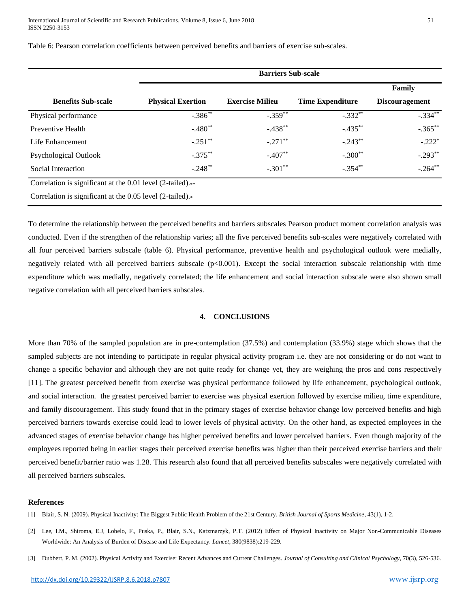$4^{**}$ 

|                                                            | <b>Barriers Sub-scale</b> |                        |                         |                       |  |  |
|------------------------------------------------------------|---------------------------|------------------------|-------------------------|-----------------------|--|--|
|                                                            |                           |                        |                         | Family                |  |  |
| <b>Benefits Sub-scale</b>                                  | <b>Physical Exertion</b>  | <b>Exercise Milieu</b> | <b>Time Expenditure</b> | <b>Discouragement</b> |  |  |
| Physical performance                                       | $-.386^{**}$              | $-.359**$              | $-.332$ <sup>**</sup>   | $-.334**$             |  |  |
| Preventive Health                                          | $-.480**$                 | $-.438**$              | $-.435***$              | $-.365***$            |  |  |
| Life Enhancement                                           | $-.251***$                | $-.271$ **             | $-.243**$               | $-.222*$              |  |  |
| <b>Psychological Outlook</b>                               | $-.375***$                | $-.407**$              | $-.300**$               | $-.293**$             |  |  |
| Social Interaction                                         | $-.248**$                 | $-.301**$              | $-.354**$               | $-.264**$             |  |  |
| Correlation is significant at the 0.01 level (2-tailed).** |                           |                        |                         |                       |  |  |
| Correlation is significant at the $0.05$ level (2-tailed). |                           |                        |                         |                       |  |  |

Table 6: Pearson correlation coefficients between perceived benefits and barriers of exercise sub-scales.

To determine the relationship between the perceived benefits and barriers subscales Pearson product moment correlation analysis was conducted. Even if the strengthen of the relationship varies; all the five perceived benefits sub-scales were negatively correlated with all four perceived barriers subscale (table 6). Physical performance, preventive health and psychological outlook were medially, negatively related with all perceived barriers subscale (p<0.001). Except the social interaction subscale relationship with time expenditure which was medially, negatively correlated; the life enhancement and social interaction subscale were also shown small negative correlation with all perceived barriers subscales.

# **4. CONCLUSIONS**

More than 70% of the sampled population are in pre-contemplation (37.5%) and contemplation (33.9%) stage which shows that the sampled subjects are not intending to participate in regular physical activity program i.e. they are not considering or do not want to change a specific behavior and although they are not quite ready for change yet, they are weighing the pros and cons respectively [11]. The greatest perceived benefit from exercise was physical performance followed by life enhancement, psychological outlook, and social interaction. the greatest perceived barrier to exercise was physical exertion followed by exercise milieu, time expenditure, and family discouragement. This study found that in the primary stages of exercise behavior change low perceived benefits and high perceived barriers towards exercise could lead to lower levels of physical activity. On the other hand, as expected employees in the advanced stages of exercise behavior change has higher perceived benefits and lower perceived barriers. Even though majority of the employees reported being in earlier stages their perceived exercise benefits was higher than their perceived exercise barriers and their perceived benefit/barrier ratio was 1.28. This research also found that all perceived benefits subscales were negatively correlated with all perceived barriers subscales.

# **References**

- [1] Blair, S. N. (2009). Physical Inactivity: The Biggest Public Health Problem of the 21st Century. *British Journal of Sports Medicine*, 43(1), 1-2.
- [2] Lee, I.M., Shiroma, E.J, Lobelo, F., Puska, P., Blair, S.N., Katzmarzyk, P.T. (2012) Effect of Physical Inactivity on Major Non-Communicable Diseases Worldwide: An Analysis of Burden of Disease and Life Expectancy. *Lancet*, 380(9838):219-229.
- [3] Dubbert, P. M. (2002). Physical Activity and Exercise: Recent Advances and Current Challenges. *Journal of Consulting and Clinical Psychology*, 70(3), 526-536.